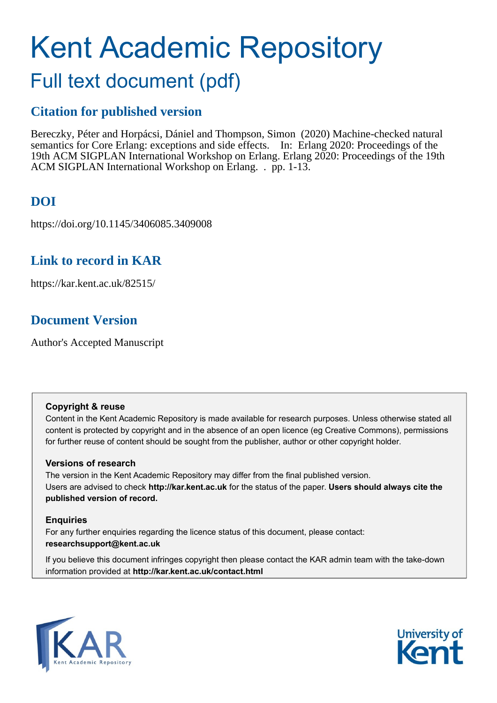# Kent Academic Repository Full text document (pdf)

## **Citation for published version**

Bereczky, Péter and Horpácsi, Dániel and Thompson, Simon (2020) Machine-checked natural semantics for Core Erlang: exceptions and side effects. In: Erlang 2020: Proceedings of the 19th ACM SIGPLAN International Workshop on Erlang. Erlang 2020: Proceedings of the 19th ACM SIGPLAN International Workshop on Erlang. . pp. 1-13.

## **DOI**

https://doi.org/10.1145/3406085.3409008

### **Link to record in KAR**

https://kar.kent.ac.uk/82515/

## **Document Version**

Author's Accepted Manuscript

#### **Copyright & reuse**

Content in the Kent Academic Repository is made available for research purposes. Unless otherwise stated all content is protected by copyright and in the absence of an open licence (eg Creative Commons), permissions for further reuse of content should be sought from the publisher, author or other copyright holder.

#### **Versions of research**

The version in the Kent Academic Repository may differ from the final published version. Users are advised to check **http://kar.kent.ac.uk** for the status of the paper. **Users should always cite the published version of record.**

#### **Enquiries**

For any further enquiries regarding the licence status of this document, please contact: **researchsupport@kent.ac.uk**

If you believe this document infringes copyright then please contact the KAR admin team with the take-down information provided at **http://kar.kent.ac.uk/contact.html**



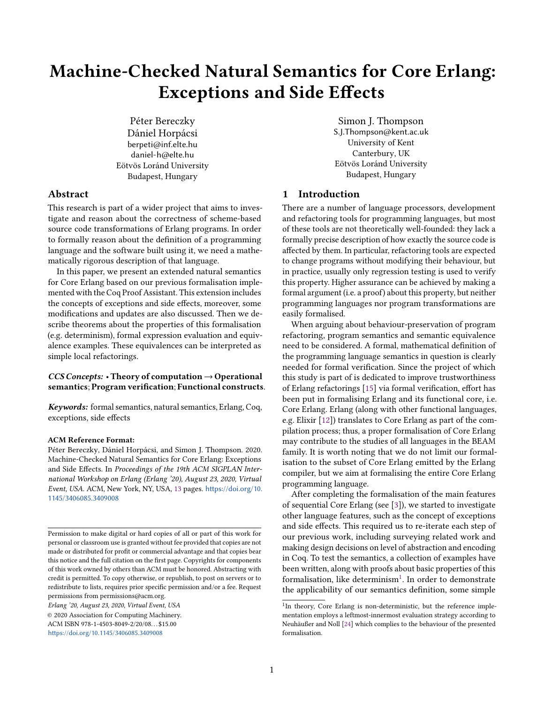## Machine-Checked Natural Semantics for Core Erlang: Exceptions and Side Effects

Péter Bereczky Dániel Horpácsi berpeti@inf.elte.hu daniel-h@elte.hu Eötvös Loránd University Budapest, Hungary

Simon J. Thompson S.J.Thompson@kent.ac.uk University of Kent Canterbury, UK Eötvös Loránd University Budapest, Hungary

#### Abstract

This research is part of a wider project that aims to investigate and reason about the correctness of scheme-based source code transformations of Erlang programs. In order to formally reason about the definition of a programming language and the software built using it, we need a mathematically rigorous description of that language.

In this paper, we present an extended natural semantics for Core Erlang based on our previous formalisation implemented with the Coq Proof Assistant. This extension includes the concepts of exceptions and side effects, moreover, some modifications and updates are also discussed. Then we describe theorems about the properties of this formalisation (e.g. determinism), formal expression evaluation and equivalence examples. These equivalences can be interpreted as simple local refactorings.

#### $CCS Concepts:$  • Theory of computation  $\rightarrow$  Operational semantics; Program verification; Functional constructs.

Keywords: formal semantics, natural semantics, Erlang, Coq, exceptions, side effects

#### ACM Reference Format:

Péter Bereczky, Dániel Horpácsi, and Simon J. Thompson. 2020. Machine-Checked Natural Semantics for Core Erlang: Exceptions and Side Effects. In Proceedings of the 19th ACM SIGPLAN International Workshop on Erlang (Erlang '20), August 23, 2020, Virtual Event, USA. ACM, New York, NY, USA, 13 pages. [https://doi.org/10.](https://doi.org/10.1145/3406085.3409008) [1145/3406085.3409008](https://doi.org/10.1145/3406085.3409008)

Erlang '20, August 23, 2020, Virtual Event, USA

© 2020 Association for Computing Machinery. ACM ISBN 978-1-4503-8049-2/20/08. . . \$15.00 <https://doi.org/10.1145/3406085.3409008>

#### 1 Introduction

There are a number of language processors, development and refactoring tools for programming languages, but most of these tools are not theoretically well-founded: they lack a formally precise description of how exactly the source code is affected by them. In particular, refactoring tools are expected to change programs without modifying their behaviour, but in practice, usually only regression testing is used to verify this property. Higher assurance can be achieved by making a formal argument (i.e. a proof) about this property, but neither programming languages nor program transformations are easily formalised.

When arguing about behaviour-preservation of program refactoring, program semantics and semantic equivalence need to be considered. A formal, mathematical definition of the programming language semantics in question is clearly needed for formal verification. Since the project of which this study is part of is dedicated to improve trustworthiness of Erlang refactorings [15] via formal verification, effort has been put in formalising Erlang and its functional core, i.e. Core Erlang. Erlang (along with other functional languages, e.g. Elixir [12]) translates to Core Erlang as part of the compilation process; thus, a proper formalisation of Core Erlang may contribute to the studies of all languages in the BEAM family. It is worth noting that we do not limit our formalisation to the subset of Core Erlang emitted by the Erlang compiler, but we aim at formalising the entire Core Erlang programming language.

After completing the formalisation of the main features of sequential Core Erlang (see [3]), we started to investigate other language features, such as the concept of exceptions and side effects. This required us to re-iterate each step of our previous work, including surveying related work and making design decisions on level of abstraction and encoding in Coq. To test the semantics, a collection of examples have been written, along with proofs about basic properties of this formalisation, like determinism<sup>1</sup>. In order to demonstrate the applicability of our semantics definition, some simple

Permission to make digital or hard copies of all or part of this work for personal or classroom use is granted without fee provided that copies are not made or distributed for profit or commercial advantage and that copies bear this notice and the full citation on the first page. Copyrights for components of this work owned by others than ACM must be honored. Abstracting with credit is permitted. To copy otherwise, or republish, to post on servers or to redistribute to lists, requires prior specific permission and/or a fee. Request permissions from permissions@acm.org.

<sup>&</sup>lt;sup>1</sup>In theory, Core Erlang is non-deterministic, but the reference implementation employs a leftmost-innermost evaluation strategy according to Neuhäußer and Noll [24] which complies to the behaviour of the presented formalisation.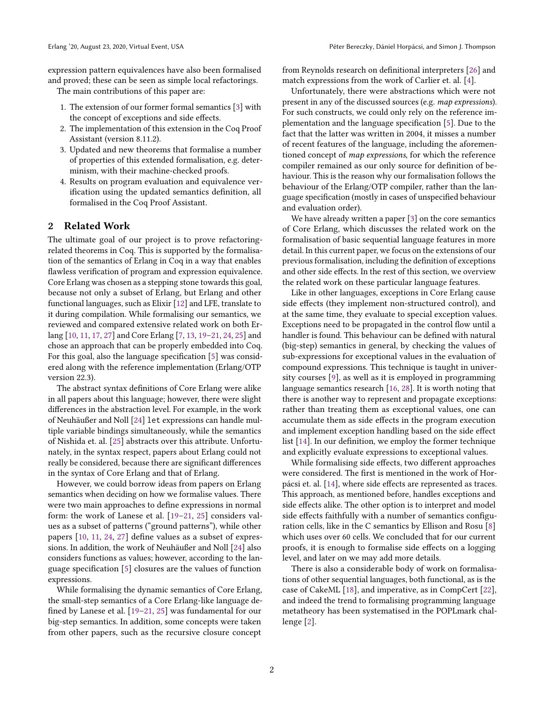expression pattern equivalences have also been formalised and proved; these can be seen as simple local refactorings.

The main contributions of this paper are:

- 1. The extension of our former formal semantics [3] with the concept of exceptions and side effects.
- 2. The implementation of this extension in the Coq Proof Assistant (version 8.11.2).
- 3. Updated and new theorems that formalise a number of properties of this extended formalisation, e.g. determinism, with their machine-checked proofs.
- 4. Results on program evaluation and equivalence verification using the updated semantics definition, all formalised in the Coq Proof Assistant.

#### 2 Related Work

The ultimate goal of our project is to prove refactoringrelated theorems in Coq. This is supported by the formalisation of the semantics of Erlang in Coq in a way that enables flawless verification of program and expression equivalence. Core Erlang was chosen as a stepping stone towards this goal, because not only a subset of Erlang, but Erlang and other functional languages, such as Elixir [12] and LFE, translate to it during compilation. While formalising our semantics, we reviewed and compared extensive related work on both Erlang [10, 11, 17, 27] and Core Erlang [7, 13, 19–21, 24, 25] and chose an approach that can be properly embedded into Coq. For this goal, also the language specification [5] was considered along with the reference implementation (Erlang/OTP version 22.3).

The abstract syntax definitions of Core Erlang were alike in all papers about this language; however, there were slight differences in the abstraction level. For example, in the work of Neuhäußer and Noll [24] let expressions can handle multiple variable bindings simultaneously, while the semantics of Nishida et. al. [25] abstracts over this attribute. Unfortunately, in the syntax respect, papers about Erlang could not really be considered, because there are significant differences in the syntax of Core Erlang and that of Erlang.

However, we could borrow ideas from papers on Erlang semantics when deciding on how we formalise values. There were two main approaches to define expressions in normal form: the work of Lanese et al. [19–21, 25] considers values as a subset of patterns ("ground patterns"), while other papers [10, 11, 24, 27] define values as a subset of expressions. In addition, the work of Neuhäußer and Noll [24] also considers functions as values; however, according to the language specification [5] closures are the values of function expressions.

While formalising the dynamic semantics of Core Erlang, the small-step semantics of a Core Erlang-like language defined by Lanese et al. [19–21, 25] was fundamental for our big-step semantics. In addition, some concepts were taken from other papers, such as the recursive closure concept

from Reynolds research on definitional interpreters [26] and match expressions from the work of Carlier et. al. [4].

Unfortunately, there were abstractions which were not present in any of the discussed sources (e.g. map expressions). For such constructs, we could only rely on the reference implementation and the language specification [5]. Due to the fact that the latter was written in 2004, it misses a number of recent features of the language, including the aforementioned concept of map expressions, for which the reference compiler remained as our only source for definition of behaviour. This is the reason why our formalisation follows the behaviour of the Erlang/OTP compiler, rather than the language specification (mostly in cases of unspecified behaviour and evaluation order).

We have already written a paper [3] on the core semantics of Core Erlang, which discusses the related work on the formalisation of basic sequential language features in more detail. In this current paper, we focus on the extensions of our previous formalisation, including the definition of exceptions and other side effects. In the rest of this section, we overview the related work on these particular language features.

Like in other languages, exceptions in Core Erlang cause side effects (they implement non-structured control), and at the same time, they evaluate to special exception values. Exceptions need to be propagated in the control flow until a handler is found. This behaviour can be defined with natural (big-step) semantics in general, by checking the values of sub-expressions for exceptional values in the evaluation of compound expressions. This technique is taught in university courses [9], as well as it is employed in programming language semantics research [16, 28]. It is worth noting that there is another way to represent and propagate exceptions: rather than treating them as exceptional values, one can accumulate them as side effects in the program execution and implement exception handling based on the side effect list [14]. In our definition, we employ the former technique and explicitly evaluate expressions to exceptional values.

While formalising side effects, two different approaches were considered. The first is mentioned in the work of Horpácsi et. al. [14], where side effects are represented as traces. This approach, as mentioned before, handles exceptions and side effects alike. The other option is to interpret and model side effects faithfully with a number of semantics configuration cells, like in the C semantics by Ellison and Rosu [8] which uses over 60 cells. We concluded that for our current proofs, it is enough to formalise side effects on a logging level, and later on we may add more details.

There is also a considerable body of work on formalisations of other sequential languages, both functional, as is the case of CakeML [18], and imperative, as in CompCert [22], and indeed the trend to formalising programming language metatheory has been systematised in the POPLmark challenge [2].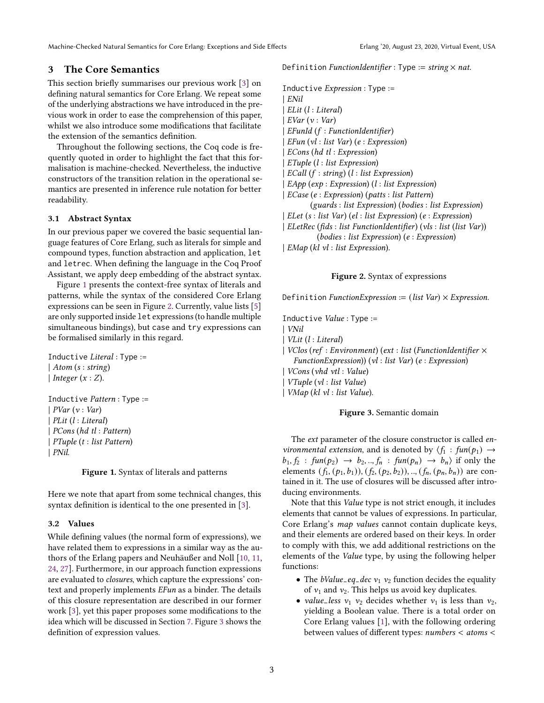Machine-Checked Natural Semantics for Core Erlang: Exceptions and Side Effects Erlang '20, August 23, 2020, Virtual Event, USA

#### 3 The Core Semantics

This section briefly summarises our previous work [3] on defining natural semantics for Core Erlang. We repeat some of the underlying abstractions we have introduced in the previous work in order to ease the comprehension of this paper, whilst we also introduce some modifications that facilitate the extension of the semantics definition.

Throughout the following sections, the Coq code is frequently quoted in order to highlight the fact that this formalisation is machine-checked. Nevertheless, the inductive constructors of the transition relation in the operational semantics are presented in inference rule notation for better readability.

#### 3.1 Abstract Syntax

In our previous paper we covered the basic sequential language features of Core Erlang, such as literals for simple and compound types, function abstraction and application, let and letrec. When defining the language in the Coq Proof Assistant, we apply deep embedding of the abstract syntax.

Figure 1 presents the context-free syntax of literals and patterns, while the syntax of the considered Core Erlang expressions can be seen in Figure 2. Currently, value lists [5] are only supported inside let expressions (to handle multiple simultaneous bindings), but case and try expressions can be formalised similarly in this regard.

Inductive Literal : Type := | Atom (s : string) | Integer  $(x:Z)$ .

Inductive Pattern : Type :=  $|$  *PVar*  $(v : Var)$ | PLit (l : Literal) | PCons (hd tl : Pattern) | PTuple (t : list Pattern) | PNil.

Figure 1. Syntax of literals and patterns

Here we note that apart from some technical changes, this syntax definition is identical to the one presented in [3].

#### 3.2 Values

While defining values (the normal form of expressions), we have related them to expressions in a similar way as the authors of the Erlang papers and Neuhäußer and Noll [10, 11, 24, 27]. Furthermore, in our approach function expressions are evaluated to closures, which capture the expressions' context and properly implements EFun as a binder. The details of this closure representation are described in our former work [3], yet this paper proposes some modifications to the idea which will be discussed in Section 7. Figure 3 shows the definition of expression values.

Definition FunctionIdentifier : Type := string  $\times$  nat.

Inductive Expression : Type := | ENil | ELit (l : Literal)  $|$  *EVar*  $(v : Var)$  $EFull$  ( $f : FunctionIdentifier$ )  $| EFunc (vl : list Var) (e : Expression)$ | ECons (hd tl : Expression) | ETuple (l : list Expression)  $ECall$  (f : string) (l : list Expression) | EApp (exp : Expression) (l : list Expression) | ECase (e : Expression) (patts : list Pattern) (guards : list Expression) (bodies : list Expression) | ELet (s : list Var) (el : list Expression) (e : Expression) | ELetRec (fids : list FunctionIdentifier) (vls : list (list Var)) (bodies : list Expression) (e : Expression) | EMap (kl vl : list Expression).

#### Figure 2. Syntax of expressions

Definition FunctionExpression := (list Var)  $\times$  Expression.

Inductive Value : Type :=

- | VNil
- | VLit (l : Literal)
- | VClos (ref : Environment) (ext : list (FunctionIdentifier × FunctionExpression)) (vl : list Var) (e : Expression)
- | VCons (vhd vtl : Value)
- | VTuple (vl : list Value)
- | VMap (kl vl : list Value).

#### Figure 3. Semantic domain

The ext parameter of the closure constructor is called environmental extension, and is denoted by  $\langle f_1 : \text{fun}(p_1) \rightarrow$  $b_1, f_2$ : fun( $p_2$ )  $\rightarrow b_2, ..., f_n$ : fun( $p_n$ )  $\rightarrow b_n$ ) if only the elements  $(f_1, (p_1, b_1)), (f_2, (p_2, b_2)), ..., (f_n, (p_n, b_n))$  are contained in it. The use of closures will be discussed after introducing environments.

Note that this Value type is not strict enough, it includes elements that cannot be values of expressions. In particular, Core Erlang's map values cannot contain duplicate keys, and their elements are ordered based on their keys. In order to comply with this, we add additional restrictions on the elements of the Value type, by using the following helper functions:

- The *bValue\_eq\_dec*  $v_1$   $v_2$  function decides the equality of  $v_1$  and  $v_2$ . This helps us avoid key duplicates.
- *value\_less*  $v_1$   $v_2$  decides whether  $v_1$  is less than  $v_2$ , yielding a Boolean value. There is a total order on Core Erlang values [1], with the following ordering between values of different types: numbers < atoms <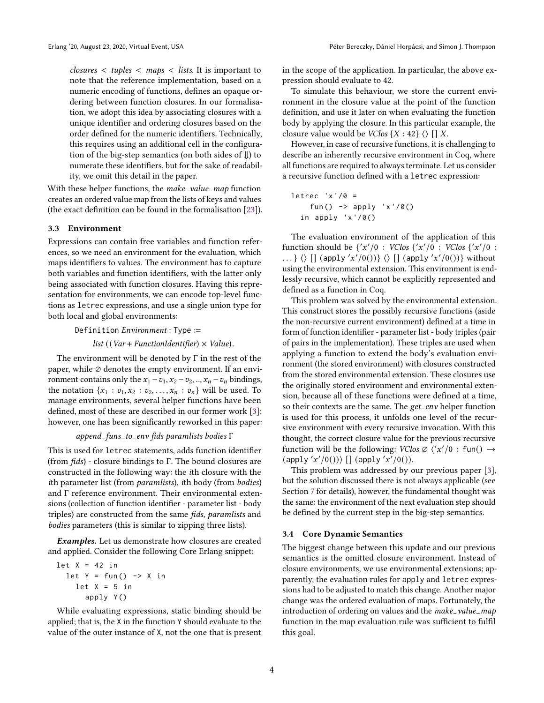$\textit{closures} < \textit{tuples} < \textit{maps} < \textit{lists}$ . It is important to note that the reference implementation, based on a numeric encoding of functions, defines an opaque ordering between function closures. In our formalisation, we adopt this idea by associating closures with a unique identifier and ordering closures based on the order defined for the numeric identifiers. Technically, this requires using an additional cell in the configuration of the big-step semantics (on both sides of ⇓) to numerate these identifiers, but for the sake of readability, we omit this detail in the paper.

With these helper functions, the make\_value\_map function creates an ordered value map from the lists of keys and values (the exact definition can be found in the formalisation [23]).

#### 3.3 Environment

Expressions can contain free variables and function references, so we need an environment for the evaluation, which maps identifiers to values. The environment has to capture both variables and function identifiers, with the latter only being associated with function closures. Having this representation for environments, we can encode top-level functions as letrec expressions, and use a single union type for both local and global environments:

Definition Environment : Type :=

list (( $Var + FunctionIdentifier$ ) × Value).

The environment will be denoted by Γ in the rest of the paper, while  $\emptyset$  denotes the empty environment. If an environment contains only the  $x_1 - v_1$ ,  $x_2 - v_2$ , ..,  $x_n - v_n$  bindings, the notation  $\{x_1 : v_1, x_2 : v_2, \ldots, x_n : v_n\}$  will be used. To manage environments, several helper functions have been defined, most of these are described in our former work [3]; however, one has been significantly reworked in this paper:

$$
append\_funs_to_env
$$
  $fds paramlists  bodies$   $\Gamma$ 

This is used for letrec statements, adds function identifier (from  $fids$ ) - closure bindings to  $\Gamma$ . The bound closures are constructed in the following way: the ith closure with the ith parameter list (from paramlists), ith body (from bodies) and Γ reference environment. Their environmental extensions (collection of function identifier - parameter list - body triples) are constructed from the same fids, paramlists and bodies parameters (this is similar to zipping three lists).

Examples. Let us demonstrate how closures are created and applied. Consider the following Core Erlang snippet:

```
let X = 42 in
let Y = fun() \rightarrow X inlet X = 5 in
     apply Y()
```
While evaluating expressions, static binding should be applied; that is, the X in the function Y should evaluate to the value of the outer instance of X, not the one that is present in the scope of the application. In particular, the above expression should evaluate to 42.

To simulate this behaviour, we store the current environment in the closure value at the point of the function definition, and use it later on when evaluating the function body by applying the closure. In this particular example, the closure value would be *VClos*  $\{X : 42\} \langle \rangle$  [] X.

However, in case of recursive functions, it is challenging to describe an inherently recursive environment in Coq, where all functions are required to always terminate. Let us consider a recursive function defined with a letrec expression:

letrec 'x '/0 = fun () -> apply 'x '/0() in apply 'x '/0()

The evaluation environment of the application of this function should be  $\{x'/0 : VClos \{x'/0 : VClos \{x'/0 :$ ...}  $\langle \rangle$  [] (apply 'x'/0())}  $\langle \rangle$  [] (apply 'x'/0())} without using the environmental extension. This environment is endlessly recursive, which cannot be explicitly represented and defined as a function in Coq.

This problem was solved by the environmental extension. This construct stores the possibly recursive functions (aside the non-recursive current environment) defined at a time in form of function identifier - parameter list - body triples (pair of pairs in the implementation). These triples are used when applying a function to extend the body's evaluation environment (the stored environment) with closures constructed from the stored environmental extension. These closures use the originally stored environment and environmental extension, because all of these functions were defined at a time, so their contexts are the same. The get\_env helper function is used for this process, it unfolds one level of the recursive environment with every recursive invocation. With this thought, the correct closure value for the previous recursive function will be the following:  $VClos \varnothing$   $\langle 'x'/0 : \text{fun}() \rightarrow$  $(\text{apply } 'x'/0())\rangle$  []  $(\text{apply } 'x'/0())$ .

This problem was addressed by our previous paper [3], but the solution discussed there is not always applicable (see Section 7 for details), however, the fundamental thought was the same: the environment of the next evaluation step should be defined by the current step in the big-step semantics.

#### 3.4 Core Dynamic Semantics

The biggest change between this update and our previous semantics is the omitted closure environment. Instead of closure environments, we use environmental extensions; apparently, the evaluation rules for apply and letrec expressions had to be adjusted to match this change. Another major change was the ordered evaluation of maps. Fortunately, the introduction of ordering on values and the make\_value\_map function in the map evaluation rule was sufficient to fulfil this goal.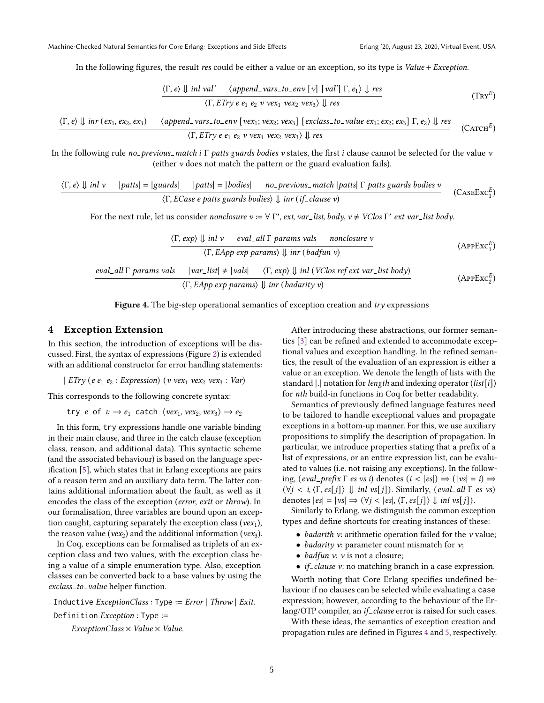In the following figures, the result res could be either a value or an exception, so its type is Value + Exception.

$$
\frac{\langle \Gamma, e \rangle \Downarrow \text{inl val'}}{\langle \Gamma, \text{ETry } e \ e_1 \ e_2 \ v \ \text{vex}_1 \ v \text{ex}_2 \ v \text{ex}_3 \rangle \Downarrow \text{res}} \tag{Trx^E}
$$

$$
\frac{\langle \Gamma, e \rangle \Downarrow \text{inr}(ex_1, ex_2, ex_3) \qquad \langle \text{append\_vars\_to\_env} \ [\text{vex}_1; \text{vex}_2; \text{vex}_3] \ [\text{exclass\_to\_value ex}_1; ex_2; ex_3] \ \Gamma, e_2 \rangle \Downarrow \text{res}}{\langle \Gamma, \text{ETry} \ e \ e_1 \ e_2 \ v \ \text{vex}_1 \ vex_2 \ vex_3 \rangle \Downarrow \text{res}} \qquad \text{(CATCH}^E)
$$

In the following rule no-previous match i  $\Gamma$  patts guards bodies v states, the first *i* clause cannot be selected for the value v (either v does not match the pattern or the guard evaluation fails).

$$
\langle \Gamma, e \rangle \Downarrow inl \ v \quad |paths| = |guards| \quad |paths| = |bodies| \quad no\_previous\_match |paths| \Gamma paths \text{ yards bodies } v
$$
\n
$$
\langle \Gamma, ECase \text{ e paths \text{ guards bodies}} \rangle \Downarrow inr \text{ (if-clause v)} \tag{CASEExc_1^E}
$$

For the next rule, let us consider nonclosure  $v := \forall \Gamma'$ , ext, var\_list, body,  $v \neq VC$ los  $\Gamma'$  ext var\_list body.

$$
\frac{\langle \Gamma, \exp \rangle \parallel inl \ v \quad \text{eval}_all \Gamma \text{params vals} \quad \text{nonclosure } v}{\langle \Gamma, \text{EApp } \exp \text{params} \rangle \parallel inr \ (badfun \ v)}
$$
\n
$$
\frac{\text{eval}_all \Gamma \text{params vals}}{\langle \Gamma, \text{EApp } \exp \text{params} \rangle \parallel inl \ (VClos \text{ref} \text{ext var}_allst \text{body})}
$$
\n
$$
\frac{\langle \Gamma, \exp \rangle \parallel inl \ (VClos \text{ref} \text{ext var}_allst \text{body})}{\langle \Gamma, \text{EApp } \exp \text{params} \rangle \parallel inr \ (badarity \ v)}
$$
\n(APPExc<sup>E</sup><sub>2</sub>)



#### 4 Exception Extension

In this section, the introduction of exceptions will be discussed. First, the syntax of expressions (Figure 2) is extended with an additional constructor for error handling statements:

| ETry (e  $e_1$   $e_2$  : Expression) (v vex<sub>1</sub> vex<sub>2</sub> vex<sub>3</sub> : Var)

This corresponds to the following concrete syntax:

try *e* of  $v \rightarrow e_1$  catch  $\langle vex_1, vex_2, vex_3 \rangle \rightarrow e_2$ 

In this form, try expressions handle one variable binding in their main clause, and three in the catch clause (exception class, reason, and additional data). This syntactic scheme (and the associated behaviour) is based on the language specification [5], which states that in Erlang exceptions are pairs of a reason term and an auxiliary data term. The latter contains additional information about the fault, as well as it encodes the class of the exception (error, exit or throw). In our formalisation, three variables are bound upon an exception caught, capturing separately the exception class ( $vex_1$ ), the reason value (vex<sub>2</sub>) and the additional information (vex<sub>3</sub>).

In Coq, exceptions can be formalised as triplets of an exception class and two values, with the exception class being a value of a simple enumeration type. Also, exception classes can be converted back to a base values by using the exclass\_to\_value helper function.

Inductive  $ExceptionClass : Type := Error | Throw | Extt.$ Definition Exception : Type :=

 $ExceptionClass \times Value \times Value$ .

After introducing these abstractions, our former semantics [3] can be refined and extended to accommodate exceptional values and exception handling. In the refined semantics, the result of the evaluation of an expression is either a value or an exception. We denote the length of lists with the standard  $|.|$  notation for length and indexing operator  $(list[i])$ for nth build-in functions in Coq for better readability.

Semantics of previously defined language features need to be tailored to handle exceptional values and propagate exceptions in a bottom-up manner. For this, we use auxiliary propositions to simplify the description of propagation. In particular, we introduce properties stating that a prefix of a list of expressions, or an entire expression list, can be evaluated to values (i.e. not raising any exceptions). In the following,  $\text{(eval-prefix } \Gamma \text{ es vs } i \text{) denotes } (i < |es|) \Rightarrow (\vert vs \vert = i) \Rightarrow$  $(\forall j \leq i, \langle \Gamma, es[j] \rangle \Downarrow inl \text{ vs } j]$ ). Similarly,  $(eval\_all \Gamma \text{ es } vs)$ denotes  $|es| = |vs| \Rightarrow (\forall j < |es|, \langle \Gamma, es[j] \rangle \Downarrow inl vs[j]).$ 

Similarly to Erlang, we distinguish the common exception types and define shortcuts for creating instances of these:

- *badarith*  $v$ : arithmetic operation failed for the  $v$  value;
- *badarity*  $v$ : parameter count mismatch for  $v$ ;
- *badfun v*: *v* is not a closure;
- *if*-*clause*  $v$ : no matching branch in a case expression.

Worth noting that Core Erlang specifies undefined behaviour if no clauses can be selected while evaluating a case expression; however, according to the behaviour of the Erlang/OTP compiler, an if\_clause error is raised for such cases.

With these ideas, the semantics of exception creation and propagation rules are defined in Figures 4 and 5, respectively.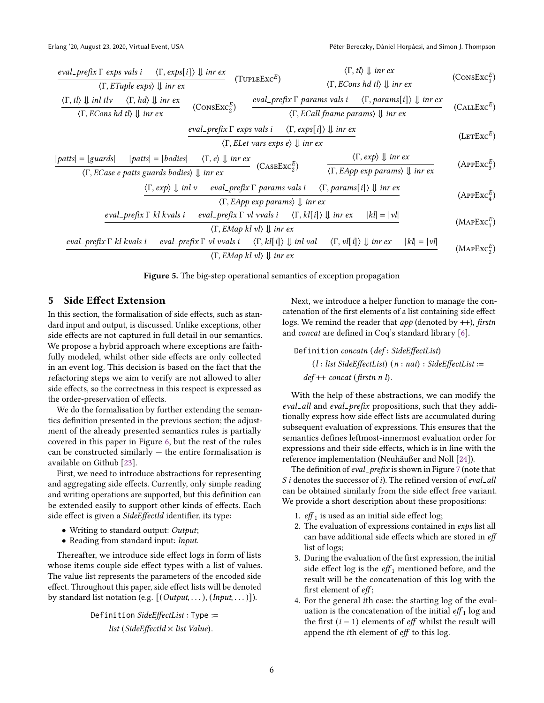| <i>eval-prefix</i> F <i>exps</i> vals <i>i</i> $\langle \Gamma, exps[i] \rangle \Downarrow$ im <i>ex</i> | (TveleExc <sup>E</sup> ) $\langle \Gamma, ECons \text{hd } t \rangle \Downarrow$ im <i>ex</i> | (ConsExc <sup>E</sup> ) $\langle \Gamma, ECons \text{hd } t \rangle \Downarrow$ im <i>ex</i> | (ConsExc <sup>E</sup> ) $\langle \Gamma, ECons \text{hd } t \rangle \Downarrow$ im <i>ex</i> | (ConsExc <sup>E</sup> ) $\langle \Gamma, ECons \text{hd } t \rangle \Downarrow$ im <i>ex</i> | (ConsExc <sup>E</sup> ) $\langle \Gamma, ECall \text{ fnames } vals \text{ is } \langle \Gamma, params \text{ is } \langle \Gamma, params[i] \rangle \Downarrow$ im <i>ex</i> | (CALExc <sup>E</sup> ) $\langle \Gamma, ECons \text{hd } t \rangle \Downarrow$ im <i>ex</i> | <i>eval-prefix</i> F <i>exps</i> vals <i>i</i> $\langle \Gamma, exps[i] \rangle \Downarrow$ im <i>ex</i> | (LerExc <sup>E</sup> ) $\langle \Gamma, ELet \text{ vars } exps \text{ e} \rangle \Downarrow$ im <i>ex</i> | (LerExc <sup>E</sup> ) $\langle \Gamma, ECase \text{ e paths } gwards \text{ bodies} \rangle \Downarrow$ im <i>ex</i> | (CaseExc <sup>E</sup> ) $\langle \Gamma, exp \rangle \Downarrow$ im <i>ex</i> | (LerExc <sup>E</sup> ) $\langle \Gamma, ECase \text{ e paths } gwards \text{ bodies} \rangle \Downarrow$ im <i>ex</i> | (CaseExc <sup>E</sup> ) $\langle \Gamma, EApp \text{ exp } param \rangle \Downarrow$ im <i>ex</i> | (APExc <sup>E</sup> ) $\langle \Gamma, EApp \text{ exp } param \rangle \Downarrow$ im <i>ex</i> | (APExc <sup>E</sup> ) $\langle \Gamma, EApp \text{ exp } w$ in <i>ex</i> | (APExc <sup>E</sup> ) $\langle \Gamma, E$ |
|----------------------------------------------------------------------------------------------------------|-----------------------------------------------------------------------------------------------|----------------------------------------------------------------------------------------------|----------------------------------------------------------------------------------------------|----------------------------------------------------------------------------------------------|-------------------------------------------------------------------------------------------------------------------------------------------------------------------------------|---------------------------------------------------------------------------------------------|----------------------------------------------------------------------------------------------------------|------------------------------------------------------------------------------------------------------------|-----------------------------------------------------------------------------------------------------------------------|-------------------------------------------------------------------------------|-----------------------------------------------------------------------------------------------------------------------|---------------------------------------------------------------------------------------------------|-------------------------------------------------------------------------------------------------|--------------------------------------------------------------------------|-------------------------------------------|
|----------------------------------------------------------------------------------------------------------|-----------------------------------------------------------------------------------------------|----------------------------------------------------------------------------------------------|----------------------------------------------------------------------------------------------|----------------------------------------------------------------------------------------------|-------------------------------------------------------------------------------------------------------------------------------------------------------------------------------|---------------------------------------------------------------------------------------------|----------------------------------------------------------------------------------------------------------|------------------------------------------------------------------------------------------------------------|-----------------------------------------------------------------------------------------------------------------------|-------------------------------------------------------------------------------|-----------------------------------------------------------------------------------------------------------------------|---------------------------------------------------------------------------------------------------|-------------------------------------------------------------------------------------------------|--------------------------------------------------------------------------|-------------------------------------------|

Figure 5. The big-step operational semantics of exception propagation

#### 5 Side Effect Extension

In this section, the formalisation of side effects, such as standard input and output, is discussed. Unlike exceptions, other side effects are not captured in full detail in our semantics. We propose a hybrid approach where exceptions are faithfully modeled, whilst other side effects are only collected in an event log. This decision is based on the fact that the refactoring steps we aim to verify are not allowed to alter side effects, so the correctness in this respect is expressed as the order-preservation of effects.

We do the formalisation by further extending the semantics definition presented in the previous section; the adjustment of the already presented semantics rules is partially covered in this paper in Figure 6, but the rest of the rules can be constructed similarly  $-$  the entire formalisation is available on Github [23].

First, we need to introduce abstractions for representing and aggregating side effects. Currently, only simple reading and writing operations are supported, but this definition can be extended easily to support other kinds of effects. Each side effect is given a SideEffectId identifier, its type:

- Writing to standard output: Output;
- Reading from standard input: Input.

Thereafter, we introduce side effect logs in form of lists whose items couple side effect types with a list of values. The value list represents the parameters of the encoded side effect. Throughout this paper, side effect lists will be denoted by standard list notation (e.g.  $[(Output, \ldots), (Input, \ldots)]$ ).

> Definition SideEffectList: Type := list (SideEffectId  $\times$  list Value).

Next, we introduce a helper function to manage the concatenation of the first elements of a list containing side effect logs. We remind the reader that  $app$  (denoted by  $++$ ), firstn and concat are defined in Coq's standard library [6].

Definition concatn (def : SideEffectList) (l : list SideEffectList) (n : nat) : SideEffectList := def ++ concat (firstn n l).

With the help of these abstractions, we can modify the eval\_all and eval\_prefix propositions, such that they additionally express how side effect lists are accumulated during subsequent evaluation of expressions. This ensures that the semantics defines leftmost-innermost evaluation order for expressions and their side effects, which is in line with the reference implementation (Neuhäußer and Noll [24]).

The definition of eval\_prefix is shown in Figure 7 (note that  $S$  i denotes the successor of i). The refined version of eval\_all can be obtained similarly from the side effect free variant. We provide a short description about these propositions:

- 1.  $\text{eff}_1$  is used as an initial side effect log;
- 2. The evaluation of expressions contained in exps list all can have additional side effects which are stored in eff list of logs;
- 3. During the evaluation of the first expression, the initial side effect log is the  $eff_1$  mentioned before, and the result will be the concatenation of this log with the first element of eff;
- 4. For the general th case: the starting log of the evaluation is the concatenation of the initial  $\mathit{eff}_1$  log and the first  $(i - 1)$  elements of *eff* whilst the result will append the *i*th element of  $eff$  to this log.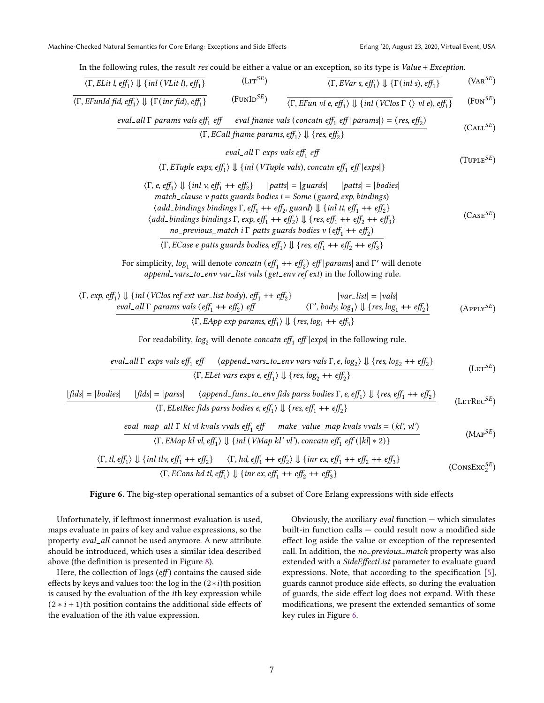Machine-Checked Natural Semantics for Core Erlang: Exceptions and Side Effects Erlang '20, August 23, 2020, Virtual Event, USA

In the following rules, the result res could be either a value or an exception, so its type is Value + Exception.

$$
\frac{\langle T, E Lit \mid eff_1 \rangle \parallel \{inl(V Lit \mid b, eff_1\})}{\langle T, EFunId \mid fd, eff_1 \rangle \parallel \{T (inr fd, eff_1\})} \qquad (\text{Ltr}^{SE}) \qquad \frac{\langle T, EVan \mid \text{seff}_1 \rangle \parallel \{Tr(inl s), eff_1\}}{\langle T, EFun \mid fd, eff_1 \rangle \parallel \{Tr(inr fd, eff_1\})} \qquad (\text{FUND}^{SE}) \qquad \frac{\langle T, EFun \mid \text{seff}_1 \mid \text{inl}(VClos \mid \text{V} \mid e), eff_1\}}{\langle T, ECall \mid name \text{params}, \text{seff}_1 \rangle \parallel \{res, eff_2\}} \qquad (\text{CALS}^{E}) \qquad (\text{CALS}^{E})
$$
\n
$$
\frac{\langle T, ECall \mid name \text{params} \mid \text{seff}_1 \mid \text{V} \mid \text{res, eff}_2\} \text{eval}_1 \mid \text{exp}^{SE})}{\langle T, ETable \text{exps}, \text{seff}_1 \rangle \parallel \{inl(VIuple \text{vals}), \text{concaten eff}_1 \text{ef} \mid \text{exps} \rangle} \qquad (\text{TUELE}^{E}) \qquad \frac{\langle T, EVal \mid name \text{params} \mid \text{seff}_1 \mid \text{F} \mid \text{ex, eff}_2 \rangle}{\langle T, ETable \text{exps}, \text{efff}_1 \rangle \parallel \text{inl}(VIuple \text{vals})} \qquad \frac{\langle T, EVal \mid \text{trans} \mid \text{atl} \mid \text{e}, \text{seff}_1 \mid \text{e}, \text{seff}_1 \mid \text{e}, \text{seff}_1 \mid \text{e}, \text{seff}_1 \mid \text{e}, \text{seff}_1 \mid \text{e}, \text{seff}_1 \mid \text{e}, \text{seff}_1 \mid \text{e}, \text{seff}_1 \mid \text{e}, \text{seff}_1 \mid \text{e}, \text{seff}_1 \mid \text{e}, \text{seff}_1 \mid \text{e}, \text{seff}_1 \mid \text{e}, \text{seff}_1 \mid \text{e}, \text{seff}_1 \mid \text{e}, \text{seff}_1 \mid \text{e}, \text{seff}_1 \mid \text{e}, \text{seff}_1 \mid \text{
$$

#### Figure 6. The big-step operational semantics of a subset of Core Erlang expressions with side effects

Unfortunately, if leftmost innermost evaluation is used, maps evaluate in pairs of key and value expressions, so the property eval\_all cannot be used anymore. A new attribute should be introduced, which uses a similar idea described above (the definition is presented in Figure 8).

Here, the collection of logs  $(eff)$  contains the caused side effects by keys and values too: the log in the  $(2 * i)$ th position is caused by the evaluation of the th key expression while  $(2 * i + 1)$ th position contains the additional side effects of the evaluation of the *i*th value expression.

Obviously, the auxiliary *eval* function  $-$  which simulates built-in function calls — could result now a modified side effect log aside the value or exception of the represented call. In addition, the no-previous-match property was also extended with a SideEffectList parameter to evaluate guard expressions. Note, that according to the specification [5], guards cannot produce side effects, so during the evaluation of guards, the side effect log does not expand. With these modifications, we present the extended semantics of some key rules in Figure 6.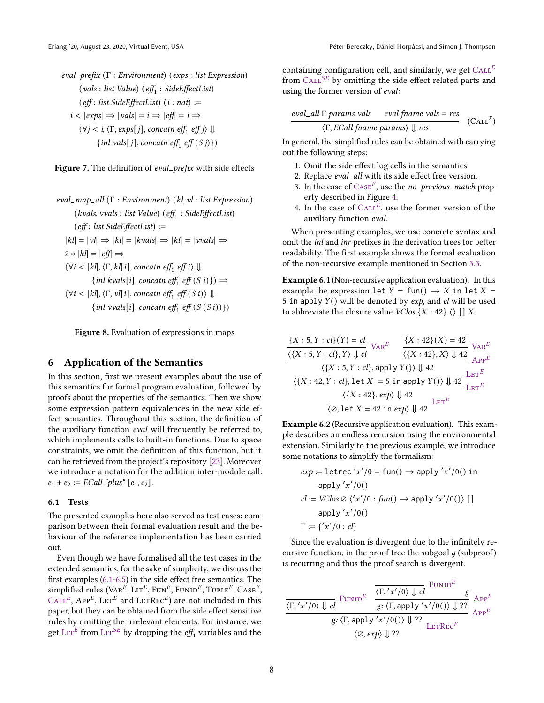eval prefix (Γ : Environment) (exps : list Expression)  $\left( \text{vals} : \text{list Value} \right) \left( \text{eff}_1 : \text{SideEffectList} \right)$  $(eff: list SideEffectList)$   $(i: nat) :=$  $i < |exps| \Rightarrow |vals| = i \Rightarrow |eff| = i \Rightarrow$  $(\forall j < i, \langle \Gamma, exps[j], \text{concatn eff}_1 \text{ eff } j \rangle \Downarrow$ {*inl vals*[*j*], concatn eff<sub>1</sub> eff  $(S j)$ })

Figure 7. The definition of eval\_prefix with side effects

eval\_map\_all (Γ : Environment) (kl, vl : list Expression)  $(kvals, vvals : list Value) (eff<sub>1</sub> : SideEffectList)$  $(eff: list SideEffectList) :=$  $|kl| = |vl| \Rightarrow |kl| = |kvals| \Rightarrow |kl| = |vvals| \Rightarrow$  $2 * |kl| = |eff| \Rightarrow$  $(\forall i < |kl|, \langle \Gamma, kl[i], \text{concatn eff}_1 \text{ eff } i \rangle \Downarrow$ {*inl* kvals[*i*], concatn eff<sub>1</sub> eff  $(S_i)$ })  $\Rightarrow$  $(\forall i < |kl|, \langle \Gamma, vl[i], \text{concatn eff}_1 \text{ eff}(S\,i) \rangle \Downarrow$ {*inl* vvals[*i*], concatn eff<sub>1</sub> eff  $(S(S_i))$ })

Figure 8. Evaluation of expressions in maps

#### 6 Application of the Semantics

In this section, first we present examples about the use of this semantics for formal program evaluation, followed by proofs about the properties of the semantics. Then we show some expression pattern equivalences in the new side effect semantics. Throughout this section, the definition of the auxiliary function eval will frequently be referred to, which implements calls to built-in functions. Due to space constraints, we omit the definition of this function, but it can be retrieved from the project's repository [23]. Moreover we introduce a notation for the addition inter-module call:  $e_1 + e_2 := ECall$  "plus"  $[e_1, e_2]$ .

#### 6.1 Tests

The presented examples here also served as test cases: comparison between their formal evaluation result and the behaviour of the reference implementation has been carried out.

Even though we have formalised all the test cases in the extended semantics, for the sake of simplicity, we discuss the first examples (6.1-6.5) in the side effect free semantics. The simplified rules  $(\text{Var}^{\vec{E}}, \text{LIT}^E, \text{Fun}^E, \text{FunID}^E, \text{TUPLE}^E, \text{Case}^E,$  $\text{CAL}^E$ , App<sup>E</sup>, LET<sup>E</sup> and LETREC<sup>E</sup>) are not included in this paper, but they can be obtained from the side effect sensitive rules by omitting the irrelevant elements. For instance, we get  $\text{LIT}^E$  from  $\text{LIT}^{SE}$  by dropping the  $\textit{eff}_1$  variables and the

containing configuration cell, and similarly, we get  $CALE^E$ from  $\text{CAL}^{SE}$  by omitting the side effect related parts and using the former version of eval:

$$
\frac{eval\_all \Gamma \text{ params vals}}{\langle \Gamma, ECall \text{ frame params} \rangle \downarrow \text{ res}} \quad \text{(CALE)}
$$

In general, the simplified rules can be obtained with carrying out the following steps:

- 1. Omit the side effect log cells in the semantics.
- 2. Replace eval\_all with its side effect free version.
- 3. In the case of  $\text{Case}^E$ , use the *no\_previous\_match* property described in Figure 4.
- 4. In the case of  $CAL<sup>E</sup>$ , use the former version of the auxiliary function eval.

When presenting examples, we use concrete syntax and omit the inl and inr prefixes in the derivation trees for better readability. The first example shows the formal evaluation of the non-recursive example mentioned in Section 3.3.

Example 6.1 (Non-recursive application evaluation). In this example the expression let  $Y = \text{fun}() \rightarrow X$  in let  $X =$ 5 in apply  $Y()$  will be denoted by  $exp$ , and  $cl$  will be used to abbreviate the closure value  $VClos \{X : 42\} \langle \rangle$  [] X.

$$
\frac{\overline{X : 5, Y : cl}(Y) = cl}{\langle \{X : 5, Y : cl \}, Y \rangle \downarrow cl} \quad \frac{\overline{X : 42}(X) = 42}{\langle \{X : 42\}, X \rangle \downarrow 42} \quad \text{Var}^E}{\frac{\langle \{X : 5, Y : cl \}, \text{apply } Y() \rangle \downarrow 42}{\langle \{X : 42, Y : cl \}, \text{let } X = 5 \text{ in apply } Y() \rangle \downarrow 42} \quad \text{Ler}^E}{\langle \{X : 42\}, \exp \rangle \downarrow 42} \quad \text{Ler}^E}{\frac{\langle \{X : 42\}, \exp \rangle \downarrow 42}{\langle \emptyset, \text{let } X = 42 \text{ in } \exp \rangle \downarrow 42} \quad \text{Ler}^E}{\langle \text{Ler}^E \rangle}
$$

Example 6.2 (Recursive application evaluation). This example describes an endless recursion using the environmental extension. Similarly to the previous example, we introduce some notations to simplify the formalism:

$$
exp := \text{letrec}'x'/0 = \text{fun}() \rightarrow \text{apply}'x'/0() \text{ in } \text{apply}'x'/0()
$$
  

$$
cl := VClos \oslash \langle 'x'/0 : \text{fun}() \rightarrow \text{apply}'x'/0() \rangle [] \text{apply}'x'/0()
$$
  

$$
\Gamma := \{ 'x'/0 : cl \}
$$

Since the evaluation is divergent due to the infinitely recursive function, in the proof tree the subgoal  $q$  (subproof) is recurring and thus the proof search is divergent.

$$
\frac{\langle \Gamma, 'x'/0 \rangle \Downarrow cl}{\langle \Gamma, 'x'/0 \rangle \Downarrow cl} \frac{\frac{\langle \Gamma, 'x'/0 \rangle \Downarrow cl}{\text{FUNID}^E} \frac{\text{FUNID}^E}{\text{F: } \langle \Gamma, \text{apply } 'x'/0 \rangle \big) \Downarrow ??}}{\frac{\text{g: } \langle \Gamma, \text{apply } 'x'/0 \rangle \big) \Downarrow ??}{\langle \varnothing, \exp \rangle \Downarrow ??}} \frac{\text{FUNID}^E}{\text{LerRec}^E}
$$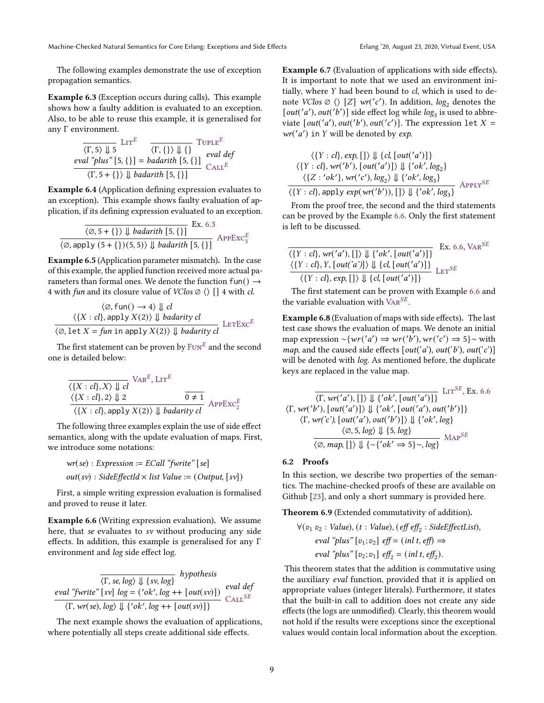The following examples demonstrate the use of exception propagation semantics.

Example 6.3 (Exception occurs during calls). This example shows how a faulty addition is evaluated to an exception. Also, to be able to reuse this example, it is generalised for any Γ environment.

$$
\frac{\langle \Gamma, 5 \rangle \Downarrow 5}{\langle V, 5 \rangle \Downarrow 5} \text{Ltr}^{E} \quad \frac{\langle \Gamma, \{\} \rangle \Downarrow \{\}}{\langle \Gamma, \{\} \rangle \Downarrow \{\}} \text{TUTE}^{E}
$$
\n
$$
\frac{\text{eval "plus" [5, {}]} = \text{badarith [5, {}]} \quad \text{CALL}^{E}
$$
\n
$$
\langle \Gamma, 5 + \{\} \rangle \Downarrow \text{badarith [5, {}]} \quad \text{CALL}^{E}
$$

Example 6.4 (Application defining expression evaluates to an exception). This example shows faulty evaluation of application, if its defining expression evaluated to an exception.

$$
\frac{\langle \emptyset, 5+\{\}\rangle \Downarrow \text{badarith [5, }\{\}\} }{\langle \emptyset, \text{apply } (5+\{\}) (5,5)\rangle \Downarrow \text{badarith [5, }\{\}\} } \text{APPExc}_3^E
$$

Example 6.5 (Application parameter mismatch). In the case of this example, the applied function received more actual parameters than formal ones. We denote the function fun()  $\rightarrow$ 4 with *fun* and its closure value of  $VClos \oslash []$  4 with *cl*.

$$
\langle \emptyset, \text{fun}() \to 4 \rangle \Downarrow cl
$$
  

$$
\langle \{X : cl \}, \text{apply } X(2) \rangle \Downarrow \text{badarity } cl
$$
  

$$
\langle \emptyset, \text{let } X = \text{fun in apply } X(2) \rangle \Downarrow \text{badarity } cl
$$
  
Let  $X = \text{fun in apply } X(2) \rangle \Downarrow \text{badarity } cl$ 

The first statement can be proven by  $\mathrm{Fun}^E$  and the second one is detailed below:

$$
\frac{\langle \{X : cl\}, X \rangle \Downarrow cl}{\langle \{X : cl\}, 2 \rangle \Downarrow 2} \frac{\text{Var}^E, \text{LIT}^E}{0 \neq 1}
$$
\n
$$
\frac{\langle \{X : cl\}, 2 \rangle \Downarrow 2}{\langle \{X : cl\}, \text{apply } X(2) \rangle \Downarrow \text{badarity cl}} \text{APPExc}_2^E
$$

The following three examples explain the use of side effect semantics, along with the update evaluation of maps. First, we introduce some notations:

 $wr(se) : Expression := ECall "fwrite" [se]$  $out(sv)$ : SideEffectId  $\times$  list Value := (Output, [sv])

First, a simple writing expression evaluation is formalised and proved to reuse it later.

Example 6.6 (Writing expression evaluation). We assume here, that se evaluates to sv without producing any side effects. In addition, this example is generalised for any Γ environment and log side effect log.

$$
\frac{\langle \Gamma, se, log \rangle \Downarrow \{sv, log\}}{\langle \Gamma, se, log \rangle \Downarrow \{sv, log + \} \{out(sv)\}} \text{eval def}
$$
  

$$
\frac{\langle \Gamma, wr(se), log \rangle \Downarrow \{'ok', log++[out(sv)]\}}{\langle \Gamma, wr(se), log \rangle \Downarrow \{'ok', log++[out(sv)]\}}
$$

The next example shows the evaluation of applications, where potentially all steps create additional side effects.

Example 6.7 (Evaluation of applications with side effects). It is important to note that we used an environment initially, where  $Y$  had been bound to  $cl$ , which is used to denote  $VClos \oslash [Z]$  wr('c'). In addition,  $log_2$  denotes the [out('a'), out('b')] side effect log while  $log_3$  is used to abbreviate  $[out('a'), out('b'), out('c')]$ . The expression let  $X =$  $wr('a')$  in Y will be denoted by exp.

$$
\langle \{Y : cl\}, exp, [] \rangle \Downarrow \{cl, [out('a')] \}
$$
  

$$
\langle \{Y : cl\}, wr('b'), [out('a')] \rangle \Downarrow \{'ok', log_2\}
$$
  

$$
\langle \{Z : 'ok'\}, wr('c'), log_2 \rangle \Downarrow \{'ok', log_3\}
$$
  

$$
\langle \{Y : cl\}, apply exp(wr('b')), [] \rangle \Downarrow \{'ok', log_3\}
$$
APPLY<sup>SE</sup>

From the proof tree, the second and the third statements can be proved by the Example 6.6. Only the first statement is left to be discussed.

$$
\frac{\langle \{Y : cl\}, wr('a'), [] \rangle \Downarrow \{'ok', [out('a')]\}}{\langle \{Y : cl\}, Y, [out('a')]\} \Downarrow \{cl, [out('a')]\}} \text{LET}^{SE}
$$
\n
$$
\frac{\langle \{Y : cl\}, \exp, [] \rangle \Downarrow \{cl, [out('a')]\}}{\langle \{Y : cl\}, \exp, [] \rangle \Downarrow \{cl, [out('a')]\}} \text{LET}^{SE}
$$

The first statement can be proven with Example 6.6 and the variable evaluation with  $\overline{VAR}^{SE}$ .

Example 6.8 (Evaluation of maps with side effects). The last test case shows the evaluation of maps. We denote an initial map expression  $\sim \{ wr('a') \Rightarrow wr('b'), wr('c') \Rightarrow 5\} \sim$  with map, and the caused side effects  $[out('a'), out('b'), out('c')]$ will be denoted with *log*. As mentioned before, the duplicate keys are replaced in the value map.

$$
\frac{\langle \Gamma, \mathit{wr}'(a'), \left[ \ \right] \rangle \Downarrow \{'ok', \left[ \mathit{out}'(a') \right] \}}{\langle \Gamma, \mathit{wr}'(b'), \left[ \mathit{out}'(a') \right] \rangle} \Downarrow \{'ok', \left[ \mathit{out}'(a'), \mathit{out}'(b') \right] \}} \langle \Gamma, \mathit{wr}(c'), \left[ \mathit{out}'(a'), \mathit{out}'(b') \right] \rangle \Downarrow \{'ok', \log \}
$$
\n
$$
\frac{\langle \varnothing, 5, \log \rangle \Downarrow \{5, \log \}}{\langle \varnothing, \mathit{map}, \left[ \ \right] \rangle \Downarrow \{ \neg'ok' \Rightarrow 5 \} \neg, \log \}} \text{MAP}^{SE}
$$

#### 6.2 Proofs

In this section, we describe two properties of the semantics. The machine-checked proofs of these are available on Github [23], and only a short summary is provided here.

Theorem 6.9 (Extended commutativity of addition).

$$
\forall (v_1 \ v_2 : Value), (t : Value), (eff \ eff_2 : SideEffectList),eval "plus" [v_1; v_2] \ eff = (inl \ t, eff) \Rightarroweval "plus" [v_2; v_1] \ eff_2 = (inl \ t, eff_2).
$$

This theorem states that the addition is commutative using the auxiliary eval function, provided that it is applied on appropriate values (integer literals). Furthermore, it states that the built-in call to addition does not create any side effects (the logs are unmodified). Clearly, this theorem would not hold if the results were exceptions since the exceptional values would contain local information about the exception.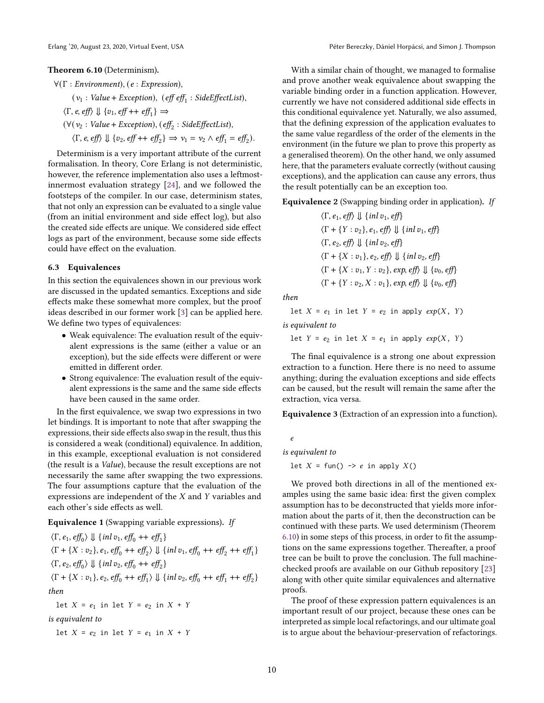#### Theorem 6.10 (Determinism).

 $\forall$ (Γ: Environment), (e: Expression),  $(v_1: Value + Exception), (eff eff_1: SideEffectList),$  $\langle \Gamma, e, e \text{ff} \rangle \Downarrow \{v_1, e\text{ff} + \text{eff}_1\} \Rightarrow$  $(\forall (v_2 : Value + Exception), (eff_2 : SideEffectList),$  $\langle \Gamma, e, e \, \text{f} \rangle \Downarrow \{v_2, e \, \text{f} \} + \text{f} \, \text{f} \} \Rightarrow v_1 = v_2 \wedge e \, \text{f} \, \text{f}_1 = e \, \text{f} \, \text{f}_2$ .

Determinism is a very important attribute of the current formalisation. In theory, Core Erlang is not deterministic, however, the reference implementation also uses a leftmostinnermost evaluation strategy [24], and we followed the footsteps of the compiler. In our case, determinism states, that not only an expression can be evaluated to a single value (from an initial environment and side effect log), but also the created side effects are unique. We considered side effect logs as part of the environment, because some side effects could have effect on the evaluation.

#### 6.3 Equivalences

In this section the equivalences shown in our previous work are discussed in the updated semantics. Exceptions and side effects make these somewhat more complex, but the proof ideas described in our former work [3] can be applied here. We define two types of equivalences:

- Weak equivalence: The evaluation result of the equivalent expressions is the same (either a value or an exception), but the side effects were different or were emitted in different order.
- Strong equivalence: The evaluation result of the equivalent expressions is the same and the same side effects have been caused in the same order.

In the first equivalence, we swap two expressions in two let bindings. It is important to note that after swapping the expressions, their side effects also swap in the result, thus this is considered a weak (conditional) equivalence. In addition, in this example, exceptional evaluation is not considered (the result is a Value), because the result exceptions are not necessarily the same after swapping the two expressions. The four assumptions capture that the evaluation of the expressions are independent of the X and Y variables and each other's side effects as well.

#### Equivalence 1 (Swapping variable expressions). If

$$
\langle \Gamma, e_1, eff_0 \rangle \Downarrow \{inl v_1, eff_0 + + eff_1\}
$$
  
\n
$$
\langle \Gamma + \{X : v_2\}, e_1, eff_0 + + eff_2 \rangle \Downarrow \{inl v_1, eff_0 + + eff_2 + + eff_1\}
$$
  
\n
$$
\langle \Gamma, e_2, eff_0 \rangle \Downarrow \{inl v_2, eff_0 + + eff_2\}
$$
  
\n
$$
\langle \Gamma + \{X : v_1\}, e_2, eff_0 + + eff_1 \rangle \Downarrow \{inl v_2, eff_0 + + eff_1 + eff_2\}
$$
  
\nthen  
\nlet  $X = e_1$  in let  $Y = e_2$  in  $X + Y$ 

is equivalent to

let  $X = e_2$  in let  $Y = e_1$  in  $X + Y$ 

Erlang '20, August 23, 2020, Virtual Event, USA Péter Bereczky, Dániel Horpácsi, and Simon J. Thompson

With a similar chain of thought, we managed to formalise and prove another weak equivalence about swapping the variable binding order in a function application. However, currently we have not considered additional side effects in this conditional equivalence yet. Naturally, we also assumed, that the defining expression of the application evaluates to the same value regardless of the order of the elements in the environment (in the future we plan to prove this property as a generalised theorem). On the other hand, we only assumed here, that the parameters evaluate correctly (without causing exceptions), and the application can cause any errors, thus the result potentially can be an exception too.

Equivalence 2 (Swapping binding order in application). If

 $\langle \Gamma, e_1, eff \rangle \Downarrow \{inl v_1, eff\}$  $\langle \Gamma + \{Y : v_2\}, e_1, eff \rangle \Downarrow \{inl v_1, eff\}$  $\langle \Gamma, e_2, e \eta \rangle \Downarrow \{ \text{inl } v_2, e \eta \}$  $\langle \Gamma + \{X : v_1\}, e_2, eff \rangle \Downarrow \{inl v_2, eff\}$  $\langle \Gamma + \{X : v_1, Y : v_2\}, exp, eff \rangle \Downarrow \{v_0, eff\}$  $\langle \Gamma + \{Y : v_2, X : v_1\}, \exp \{ \epsilon \} \rangle \Downarrow \{v_0, \epsilon \}$ 

then

let  $X = e_1$  in let  $Y = e_2$  in apply  $exp(X, Y)$ 

is equivalent to

let  $Y = e_2$  in let  $X = e_1$  in apply  $exp(X, Y)$ 

The final equivalence is a strong one about expression extraction to a function. Here there is no need to assume anything; during the evaluation exceptions and side effects can be caused, but the result will remain the same after the extraction, vica versa.

Equivalence 3 (Extraction of an expression into a function).

is equivalent to

 $\boldsymbol{e}$ 

let  $X = \text{fun}() \rightarrow e$  in apply  $X()$ 

We proved both directions in all of the mentioned examples using the same basic idea: first the given complex assumption has to be deconstructed that yields more information about the parts of it, then the deconstruction can be continued with these parts. We used determinism (Theorem 6.10) in some steps of this process, in order to fit the assumptions on the same expressions together. Thereafter, a proof tree can be built to prove the conclusion. The full machinechecked proofs are available on our Github repository [23] along with other quite similar equivalences and alternative proofs.

The proof of these expression pattern equivalences is an important result of our project, because these ones can be interpreted as simple local refactorings, and our ultimate goal is to argue about the behaviour-preservation of refactorings.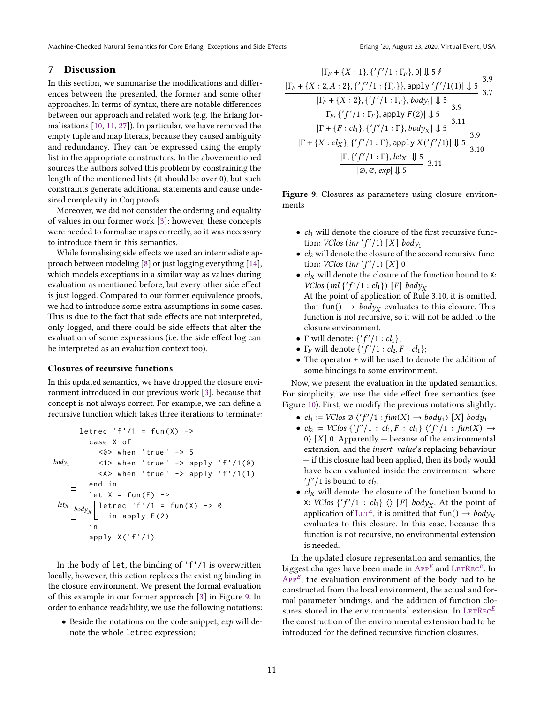Machine-Checked Natural Semantics for Core Erlang: Exceptions and Side Effects Frlang '20, August 23, 2020, Virtual Event, USA

#### 7 Discussion

In this section, we summarise the modifications and differences between the presented, the former and some other approaches. In terms of syntax, there are notable differences between our approach and related work (e.g. the Erlang formalisations [10, 11, 27]). In particular, we have removed the empty tuple and map literals, because they caused ambiguity and redundancy. They can be expressed using the empty list in the appropriate constructors. In the abovementioned sources the authors solved this problem by constraining the length of the mentioned lists (it should be over 0), but such constraints generate additional statements and cause undesired complexity in Coq proofs.

Moreover, we did not consider the ordering and equality of values in our former work [3]; however, these concepts were needed to formalise maps correctly, so it was necessary to introduce them in this semantics.

While formalising side effects we used an intermediate approach between modeling [8] or just logging everything [14], which models exceptions in a similar way as values during evaluation as mentioned before, but every other side effect is just logged. Compared to our former equivalence proofs, we had to introduce some extra assumptions in some cases. This is due to the fact that side effects are not interpreted, only logged, and there could be side effects that alter the evaluation of some expressions (i.e. the side effect log can be interpreted as an evaluation context too).

#### Closures of recursive functions

In this updated semantics, we have dropped the closure environment introduced in our previous work [3], because that concept is not always correct. For example, we can define a recursive function which takes three iterations to terminate:

letrec 'f '/1 = fun ( X ) -> case X of <0 > when 'true ' -> 5 <1 > when 'true ' -> apply 'f '/1(0) <A > when 'true ' -> apply 'f '/1(1) end in let X = fun ( F ) -> letrec 'f '/1 = fun ( X ) -> 0 in apply F (2) in apply X ('f '/1) body1 body let

In the body of let, the binding of 'f'/1 is overwritten locally, however, this action replaces the existing binding in the closure environment. We present the formal evaluation of this example in our former approach [3] in Figure 9. In order to enhance readability, we use the following notations:

• Beside the notations on the code snippet, exp will denote the whole letrec expression;

$$
\frac{|\Gamma_F + \{X : 1\}, \{f'\}/1 : \Gamma_F\}, 0| \Downarrow 5 \n\mid f \text{ for } 3.9
$$
\n
$$
\frac{|\Gamma_F + \{X : 2, A : 2\}, \{f'\}/1 : \{\Gamma_F\}, \text{apply } f'\}/1(1)| \Downarrow 5 \n\frac{|\Gamma_F + \{X : 2\}, \{f'\}/1 : \Gamma_F\}, \text{body}_1| \Downarrow 5 \n\frac{|\Gamma_F, \{f'\}/1 : \Gamma_F\}, \text{apply } F(2)| \Downarrow 5 \n\frac{|\Gamma_F, \{f'\}/1 : \Gamma_F\}, \text{poly } F(2)| \Downarrow 5 \n\frac{|\Gamma + \{F : cl_1\}, \{f'\}/1 : \Gamma\}, \text{body}_X| \Downarrow 5 \n\frac{|\Gamma + \{X : cl_X\}, \{f'\}/1 : \Gamma\}, \text{apply } X(\{f'\}/1)| \Downarrow 5 \n\frac{3.9}{|\mathcal{O}, \mathcal{O}, \exp|\Downarrow 5} \n\frac{3.11}{3.11}
$$

Figure 9. Closures as parameters using closure environments

- $cl_1$  will denote the closure of the first recursive function:  $VClos (inr'f'/1) [X] body_1$
- $\bullet$   $cl_2$  will denote the closure of the second recursive function:  $VClos (inr' f'/1) [X]$  0
- $cl_X$  will denote the closure of the function bound to X: VClos (inl  $\{f'/1 : cl_1\}$ ) [F] body<sub>X</sub> At the point of application of Rule 3.10, it is omitted, that fun()  $\rightarrow$  *body*<sub>X</sub> evaluates to this closure. This function is not recursive, so it will not be added to the closure environment.
- $\Gamma$  will denote:  $\{f'/1 : cl_1\};$
- $\Gamma_F$  will denote  $\{f'/1 : cl_2, F : cl_1\};$
- The operator + will be used to denote the addition of some bindings to some environment.

Now, we present the evaluation in the updated semantics. For simplicity, we use the side effect free semantics (see Figure 10). First, we modify the previous notations slightly:

- $cl_1 := VClos \oslash \langle 'f'/1 : fun(X) \rightarrow body_1 \rangle [X] body_1$
- $cl_2 := VClos \{ 'f' / 1 : cl_1, F : cl_1 \} \ \langle 'f' / 1 : func(X) \rightarrow$ 0)  $[X]$  0. Apparently — because of the environmental extension, and the *insert\_value*'s replacing behaviour — if this closure had been applied, then its body would have been evaluated inside the environment where  $'f'/1$  is bound to  $cl_2$ .
- $cl_X$  will denote the closure of the function bound to X: VClos  $\{f'/1 : cl_1\} \langle\rangle$  [F] body<sub>X</sub>. At the point of application of  $\text{LET}^E$ , it is omitted that fun()  $\rightarrow$  body<sub>X</sub> evaluates to this closure. In this case, because this function is not recursive, no environmental extension is needed.

In the updated closure representation and semantics, the biggest changes have been made in  $APP^E$  and  $LETRec^E$ . In  $APP<sup>E</sup>$ , the evaluation environment of the body had to be constructed from the local environment, the actual and formal parameter bindings, and the addition of function closures stored in the environmental extension. In  $\textrm{LerRec}^E$ the construction of the environmental extension had to be introduced for the defined recursive function closures.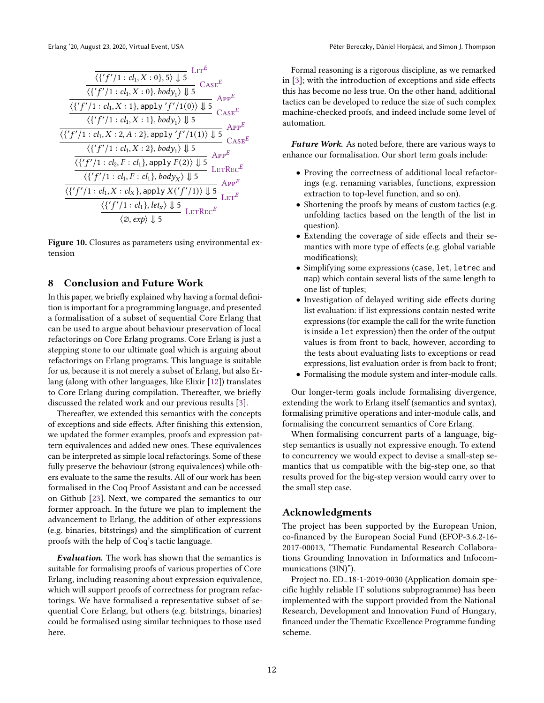

Figure 10. Closures as parameters using environmental extension

#### 8 Conclusion and Future Work

In this paper, we briefly explained why having a formal definition is important for a programming language, and presented a formalisation of a subset of sequential Core Erlang that can be used to argue about behaviour preservation of local refactorings on Core Erlang programs. Core Erlang is just a stepping stone to our ultimate goal which is arguing about refactorings on Erlang programs. This language is suitable for us, because it is not merely a subset of Erlang, but also Erlang (along with other languages, like Elixir [12]) translates to Core Erlang during compilation. Thereafter, we briefly discussed the related work and our previous results [3].

Thereafter, we extended this semantics with the concepts of exceptions and side effects. After finishing this extension, we updated the former examples, proofs and expression pattern equivalences and added new ones. These equivalences can be interpreted as simple local refactorings. Some of these fully preserve the behaviour (strong equivalences) while others evaluate to the same the results. All of our work has been formalised in the Coq Proof Assistant and can be accessed on Github [23]. Next, we compared the semantics to our former approach. In the future we plan to implement the advancement to Erlang, the addition of other expressions (e.g. binaries, bitstrings) and the simplification of current proofs with the help of Coq's tactic language.

Evaluation. The work has shown that the semantics is suitable for formalising proofs of various properties of Core Erlang, including reasoning about expression equivalence, which will support proofs of correctness for program refactorings. We have formalised a representative subset of sequential Core Erlang, but others (e.g. bitstrings, binaries) could be formalised using similar techniques to those used here.

Formal reasoning is a rigorous discipline, as we remarked in [3]; with the introduction of exceptions and side effects this has become no less true. On the other hand, additional tactics can be developed to reduce the size of such complex machine-checked proofs, and indeed include some level of automation.

**Future Work.** As noted before, there are various ways to enhance our formalisation. Our short term goals include:

- Proving the correctness of additional local refactorings (e.g. renaming variables, functions, expression extraction to top-level function, and so on).
- Shortening the proofs by means of custom tactics (e.g. unfolding tactics based on the length of the list in question).
- Extending the coverage of side effects and their semantics with more type of effects (e.g. global variable modifications);
- Simplifying some expressions (case, let, letrec and map) which contain several lists of the same length to one list of tuples;
- Investigation of delayed writing side effects during list evaluation: if list expressions contain nested write expressions (for example the call for the write function is inside a let expression) then the order of the output values is from front to back, however, according to the tests about evaluating lists to exceptions or read expressions, list evaluation order is from back to front;
- Formalising the module system and inter-module calls.

Our longer-term goals include formalising divergence, extending the work to Erlang itself (semantics and syntax), formalising primitive operations and inter-module calls, and formalising the concurrent semantics of Core Erlang.

When formalising concurrent parts of a language, bigstep semantics is usually not expressive enough. To extend to concurrency we would expect to devise a small-step semantics that us compatible with the big-step one, so that results proved for the big-step version would carry over to the small step case.

#### Acknowledgments

The project has been supported by the European Union, co-financed by the European Social Fund (EFOP-3.6.2-16- 2017-00013, "Thematic Fundamental Research Collaborations Grounding Innovation in Informatics and Infocommunications (3IN)").

Project no. ED<sub>-18</sub>-1-2019-0030 (Application domain specific highly reliable IT solutions subprogramme) has been implemented with the support provided from the National Research, Development and Innovation Fund of Hungary, financed under the Thematic Excellence Programme funding scheme.